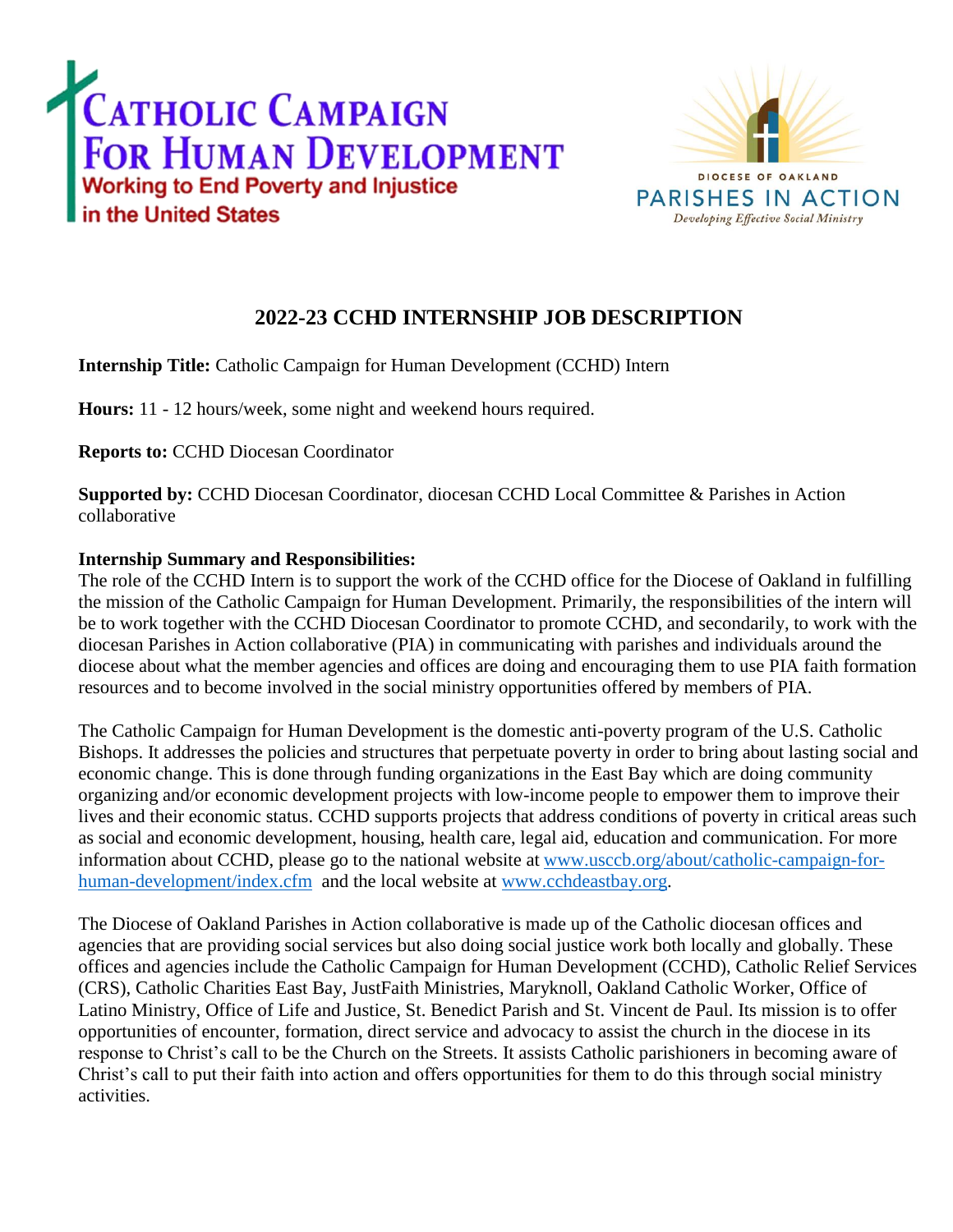



## **2022-23 CCHD INTERNSHIP JOB DESCRIPTION**

**Internship Title:** Catholic Campaign for Human Development (CCHD) Intern

**Hours:** 11 - 12 hours/week, some night and weekend hours required.

**Reports to:** CCHD Diocesan Coordinator

**Supported by:** CCHD Diocesan Coordinator, diocesan CCHD Local Committee & Parishes in Action collaborative

## **Internship Summary and Responsibilities:**

The role of the CCHD Intern is to support the work of the CCHD office for the Diocese of Oakland in fulfilling the mission of the Catholic Campaign for Human Development. Primarily, the responsibilities of the intern will be to work together with the CCHD Diocesan Coordinator to promote CCHD, and secondarily, to work with the diocesan Parishes in Action collaborative (PIA) in communicating with parishes and individuals around the diocese about what the member agencies and offices are doing and encouraging them to use PIA faith formation resources and to become involved in the social ministry opportunities offered by members of PIA.

The Catholic Campaign for Human Development is the domestic anti-poverty program of the U.S. Catholic Bishops. It addresses the policies and structures that perpetuate poverty in order to bring about lasting social and economic change. This is done through funding organizations in the East Bay which are doing community organizing and/or economic development projects with low-income people to empower them to improve their lives and their economic status. CCHD supports projects that address conditions of poverty in critical areas such as social and economic development, housing, health care, legal aid, education and communication. For more information about CCHD, please go to the national website at [www.usccb.org/about/catholic-campaign-for](http://www.usccb.org/about/catholic-campaign-for-human-development/index.cfm)[human-development/index.cfm](http://www.usccb.org/about/catholic-campaign-for-human-development/index.cfm) and the local website at [www.cchdeastbay.org.](http://www.cchdeastbay.org/)

The Diocese of Oakland Parishes in Action collaborative is made up of the Catholic diocesan offices and agencies that are providing social services but also doing social justice work both locally and globally. These offices and agencies include the Catholic Campaign for Human Development (CCHD), Catholic Relief Services (CRS), Catholic Charities East Bay, JustFaith Ministries, Maryknoll, Oakland Catholic Worker, Office of Latino Ministry, Office of Life and Justice, St. Benedict Parish and St. Vincent de Paul. Its mission is to offer opportunities of encounter, formation, direct service and advocacy to assist the church in the diocese in its response to Christ's call to be the Church on the Streets. It assists Catholic parishioners in becoming aware of Christ's call to put their faith into action and offers opportunities for them to do this through social ministry activities.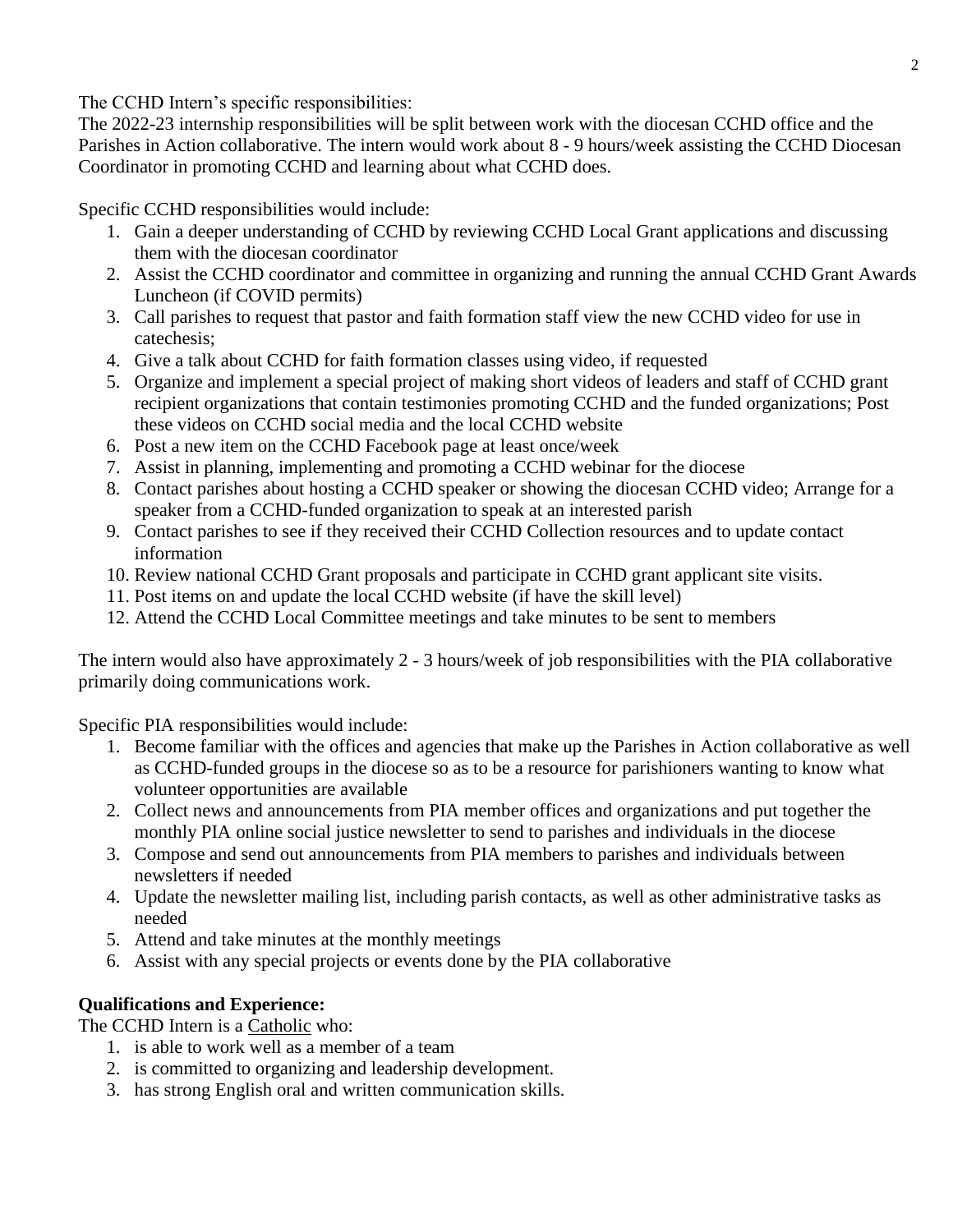The CCHD Intern's specific responsibilities:

The 2022-23 internship responsibilities will be split between work with the diocesan CCHD office and the Parishes in Action collaborative. The intern would work about 8 - 9 hours/week assisting the CCHD Diocesan Coordinator in promoting CCHD and learning about what CCHD does.

Specific CCHD responsibilities would include:

- 1. Gain a deeper understanding of CCHD by reviewing CCHD Local Grant applications and discussing them with the diocesan coordinator
- 2. Assist the CCHD coordinator and committee in organizing and running the annual CCHD Grant Awards Luncheon (if COVID permits)
- 3. Call parishes to request that pastor and faith formation staff view the new CCHD video for use in catechesis;
- 4. Give a talk about CCHD for faith formation classes using video, if requested
- 5. Organize and implement a special project of making short videos of leaders and staff of CCHD grant recipient organizations that contain testimonies promoting CCHD and the funded organizations; Post these videos on CCHD social media and the local CCHD website
- 6. Post a new item on the CCHD Facebook page at least once/week
- 7. Assist in planning, implementing and promoting a CCHD webinar for the diocese
- 8. Contact parishes about hosting a CCHD speaker or showing the diocesan CCHD video; Arrange for a speaker from a CCHD-funded organization to speak at an interested parish
- 9. Contact parishes to see if they received their CCHD Collection resources and to update contact information
- 10. Review national CCHD Grant proposals and participate in CCHD grant applicant site visits.
- 11. Post items on and update the local CCHD website (if have the skill level)
- 12. Attend the CCHD Local Committee meetings and take minutes to be sent to members

The intern would also have approximately 2 - 3 hours/week of job responsibilities with the PIA collaborative primarily doing communications work.

Specific PIA responsibilities would include:

- 1. Become familiar with the offices and agencies that make up the Parishes in Action collaborative as well as CCHD-funded groups in the diocese so as to be a resource for parishioners wanting to know what volunteer opportunities are available
- 2. Collect news and announcements from PIA member offices and organizations and put together the monthly PIA online social justice newsletter to send to parishes and individuals in the diocese
- 3. Compose and send out announcements from PIA members to parishes and individuals between newsletters if needed
- 4. Update the newsletter mailing list, including parish contacts, as well as other administrative tasks as needed
- 5. Attend and take minutes at the monthly meetings
- 6. Assist with any special projects or events done by the PIA collaborative

## **Qualifications and Experience:**

The CCHD Intern is a Catholic who:

- 1. is able to work well as a member of a team
- 2. is committed to organizing and leadership development.
- 3. has strong English oral and written communication skills.